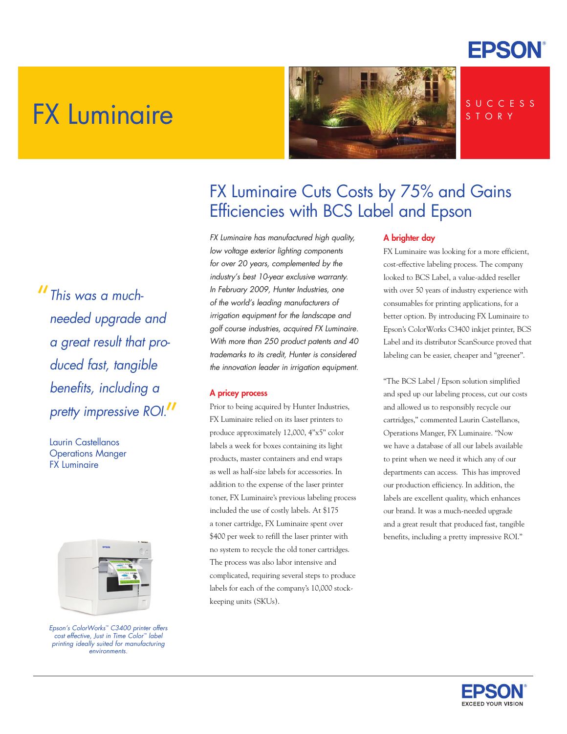

# FX Luminaire



### S U C C E S S S T O R Y

"*This was a muchneeded upgrade and a great result that produced fast, tangible benefits, including a pretty impressive ROI.* "

Laurin Castellanos Operations Manger FX Luminaire



*Epson's ColorWorks™ C3400 printer offers cost effective, Just in Time Color™ label printing ideally suited for manufacturing environments.*

### FX Luminaire Cuts Costs by 75% and Gains Efficiencies with BCS Label and Epson

*FX Luminaire has manufactured high quality, low voltage exterior lighting components for over 20 years, complemented by the industry's best 10-year exclusive warranty. In February 2009, Hunter Industries, one of the world's leading manufacturers of irrigation equipment for the landscape and golf course industries, acquired FX Luminaire. With more than 250 product patents and 40 trademarks to its credit, Hunter is considered the innovation leader in irrigation equipment.* 

### A pricey process

Prior to being acquired by Hunter Industries, FX Luminaire relied on its laser printers to produce approximately 12,000, 4"x5" color labels a week for boxes containing its light products, master containers and end wraps as well as half-size labels for accessories. In addition to the expense of the laser printer toner, FX Luminaire's previous labeling process included the use of costly labels. At \$175 a toner cartridge, FX Luminaire spent over \$400 per week to refill the laser printer with no system to recycle the old toner cartridges. The process was also labor intensive and complicated, requiring several steps to produce labels for each of the company's 10,000 stockkeeping units (SKUs).

### A brighter day

FX Luminaire was looking for a more efficient, cost-effective labeling process. The company looked to BCS Label, a value-added reseller with over 50 years of industry experience with consumables for printing applications, for a better option. By introducing FX Luminaire to Epson's ColorWorks C3400 inkjet printer, BCS Label and its distributor ScanSource proved that labeling can be easier, cheaper and "greener".

"The BCS Label / Epson solution simplified and sped up our labeling process, cut our costs and allowed us to responsibly recycle our cartridges," commented Laurin Castellanos, Operations Manger, FX Luminaire. "Now we have a database of all our labels available to print when we need it which any of our departments can access. This has improved our production efficiency. In addition, the labels are excellent quality, which enhances our brand. It was a much-needed upgrade and a great result that produced fast, tangible benefits, including a pretty impressive ROI."